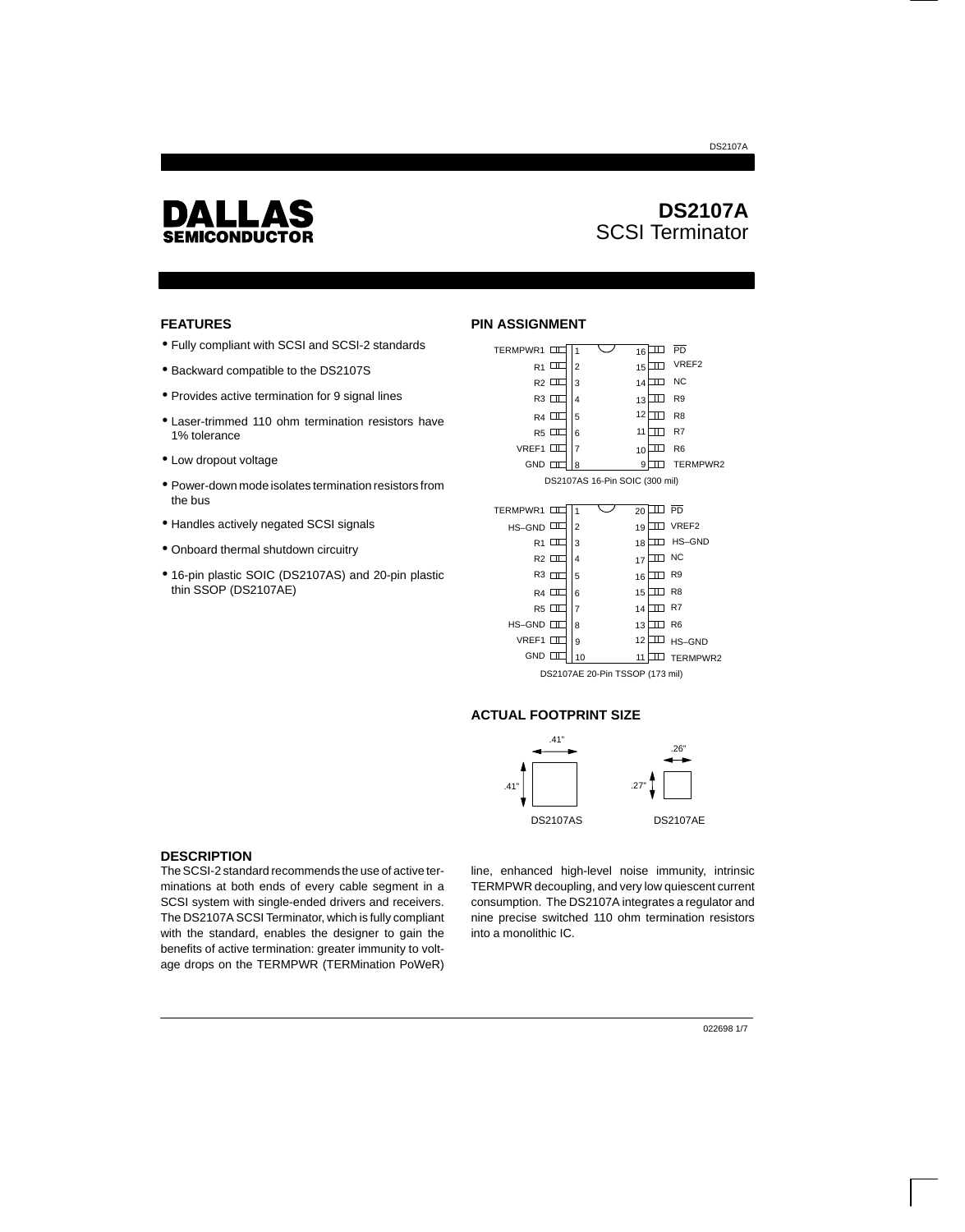

# **DS2107A** SCSI Terminator

DS2107A

### **FEATURES**

- Fully compliant with SCSI and SCSI-2 standards
- Backward compatible to the DS2107S
- Provides active termination for 9 signal lines
- Laser-trimmed 110 ohm termination resistors have 1% tolerance
- Low dropout voltage
- Power-down mode isolates termination resistors from the bus
- Handles actively negated SCSI signals
- Onboard thermal shutdown circuitry
- 16-pin plastic SOIC (DS2107AS) and 20-pin plastic thin SSOP (DS2107AE)

## **PIN ASSIGNMENT**

| TERMPWR1       |   | 1 |                                | 16 | ╖        | PD             |
|----------------|---|---|--------------------------------|----|----------|----------------|
| R1             | ◫ | 2 |                                | 15 | π        | VREF2          |
| R2 □           |   | 3 |                                | 14 | ╖        | <b>NC</b>      |
| R3 III         |   | 4 |                                | 13 | Ш        | R <sub>9</sub> |
| R4 □           |   | 5 |                                | 12 | ╖        | R <sub>8</sub> |
| R5 □           |   | 6 |                                | 11 | m        | R7             |
| VREF1 □        |   | 7 |                                | 10 | ╖        | R <sub>6</sub> |
| $GND$ $\Box$   |   | 8 |                                | 9  |          | TERMPWR2       |
|                |   |   | DS2107AS 16-Pin SOIC (300 mil) |    |          |                |
|                |   |   |                                |    |          |                |
| TERMPWR1       |   | 1 |                                | 20 | Π<br>٦   | PD             |
| HS-GND         | ╖ | 2 |                                | 19 | н<br>a l | VREF2          |
| R <sub>1</sub> | ╖ | 3 |                                | 18 | π<br>ш   | HS-GND         |
| $R2$ $\Box$    |   | 4 |                                | 17 | ╥┐       | <b>NC</b>      |
| $R3$ $\Pi$     |   | 5 |                                | 16 | ╥┐       | R <sub>9</sub> |
| R4 □           |   | 6 |                                | 15 | Ш        | R <sub>8</sub> |
| R5             |   | 7 |                                | 14 |          | R7             |
|                |   |   |                                |    |          |                |

DS2107AE 20-Pin TSSOP (173 mil)

13 III R6

12 HS–GND

10 11 TERMPWR2

### **ACTUAL FOOTPRINT SIZE**

9

8 HS–GND

VREF1 GND **IT** 



### **DESCRIPTION**

The SCSI-2 standard recommends the use of active terminations at both ends of every cable segment in a SCSI system with single-ended drivers and receivers. The DS2107A SCSI Terminator, which is fully compliant with the standard, enables the designer to gain the benefits of active termination: greater immunity to voltage drops on the TERMPWR (TERMination PoWeR)

line, enhanced high-level noise immunity, intrinsic TERMPWR decoupling, and very low quiescent current consumption. The DS2107A integrates a regulator and nine precise switched 110 ohm termination resistors into a monolithic IC.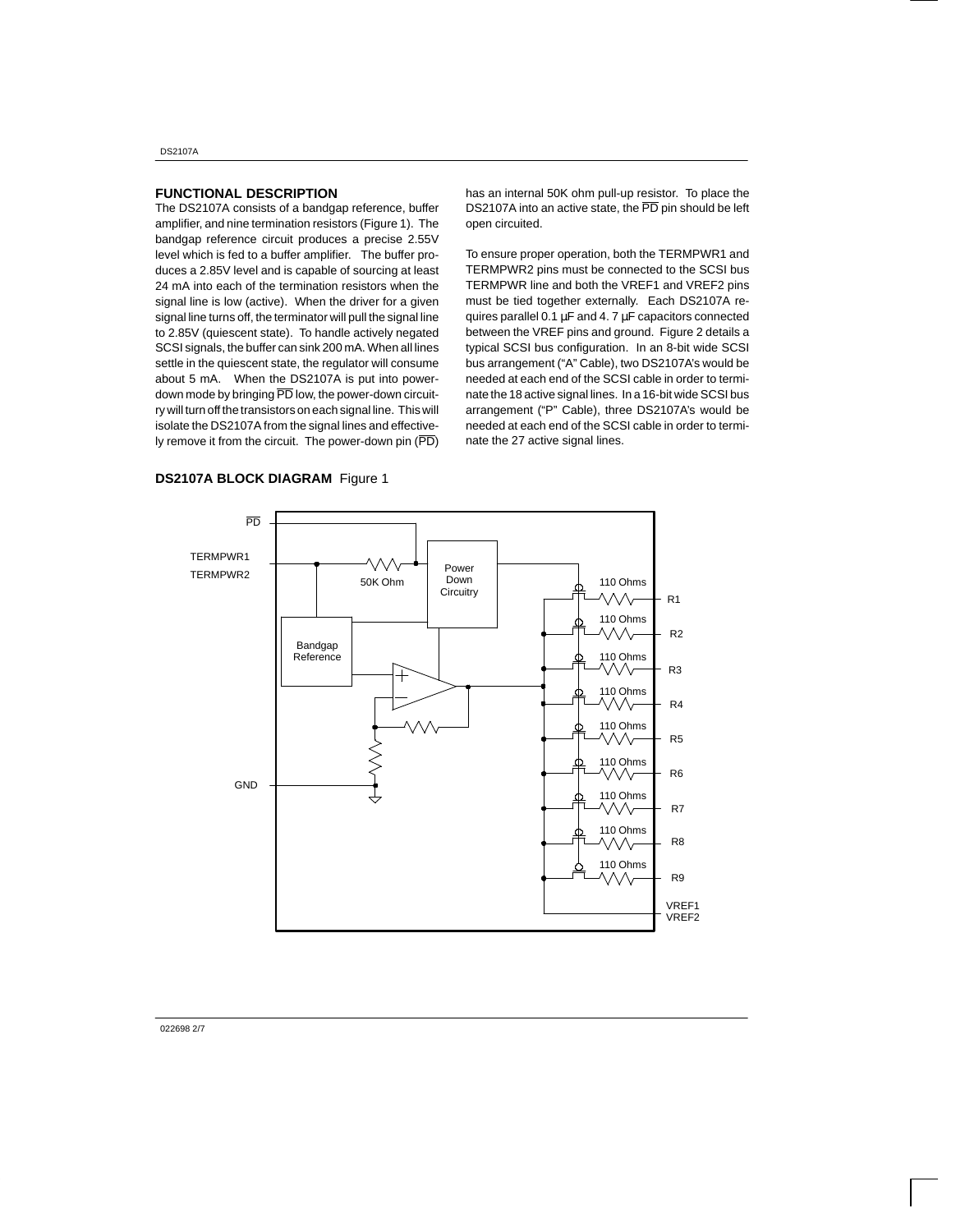DS2107A

#### **FUNCTIONAL DESCRIPTION**

The DS2107A consists of a bandgap reference, buffer amplifier, and nine termination resistors (Figure 1). The bandgap reference circuit produces a precise 2.55V level which is fed to a buffer amplifier. The buffer produces a 2.85V level and is capable of sourcing at least 24 mA into each of the termination resistors when the signal line is low (active). When the driver for a given signal line turns off, the terminator will pull the signal line to 2.85V (quiescent state). To handle actively negated SCSI signals, the buffer can sink 200 mA. When all lines settle in the quiescent state, the regulator will consume about 5 mA. When the DS2107A is put into powerdown mode by bringing PD low, the power-down circuitry will turn off the transistors on each signal line. This will isolate the DS2107A from the signal lines and effectively remove it from the circuit. The power-down pin  $(\overline{PD})$  has an internal 50K ohm pull-up resistor. To place the DS2107A into an active state, the PD pin should be left open circuited.

To ensure proper operation, both the TERMPWR1 and TERMPWR2 pins must be connected to the SCSI bus TERMPWR line and both the VREF1 and VREF2 pins must be tied together externally. Each DS2107A requires parallel 0.1 µF and 4. 7 µF capacitors connected between the VREF pins and ground. Figure 2 details a typical SCSI bus configuration. In an 8-bit wide SCSI bus arrangement ("A" Cable), two DS2107A's would be needed at each end of the SCSI cable in order to terminate the 18 active signal lines. In a 16-bit wide SCSI bus arrangement ("P" Cable), three DS2107A's would be needed at each end of the SCSI cable in order to terminate the 27 active signal lines.



### **DS2107A BLOCK DIAGRAM** Figure 1

022698 2/7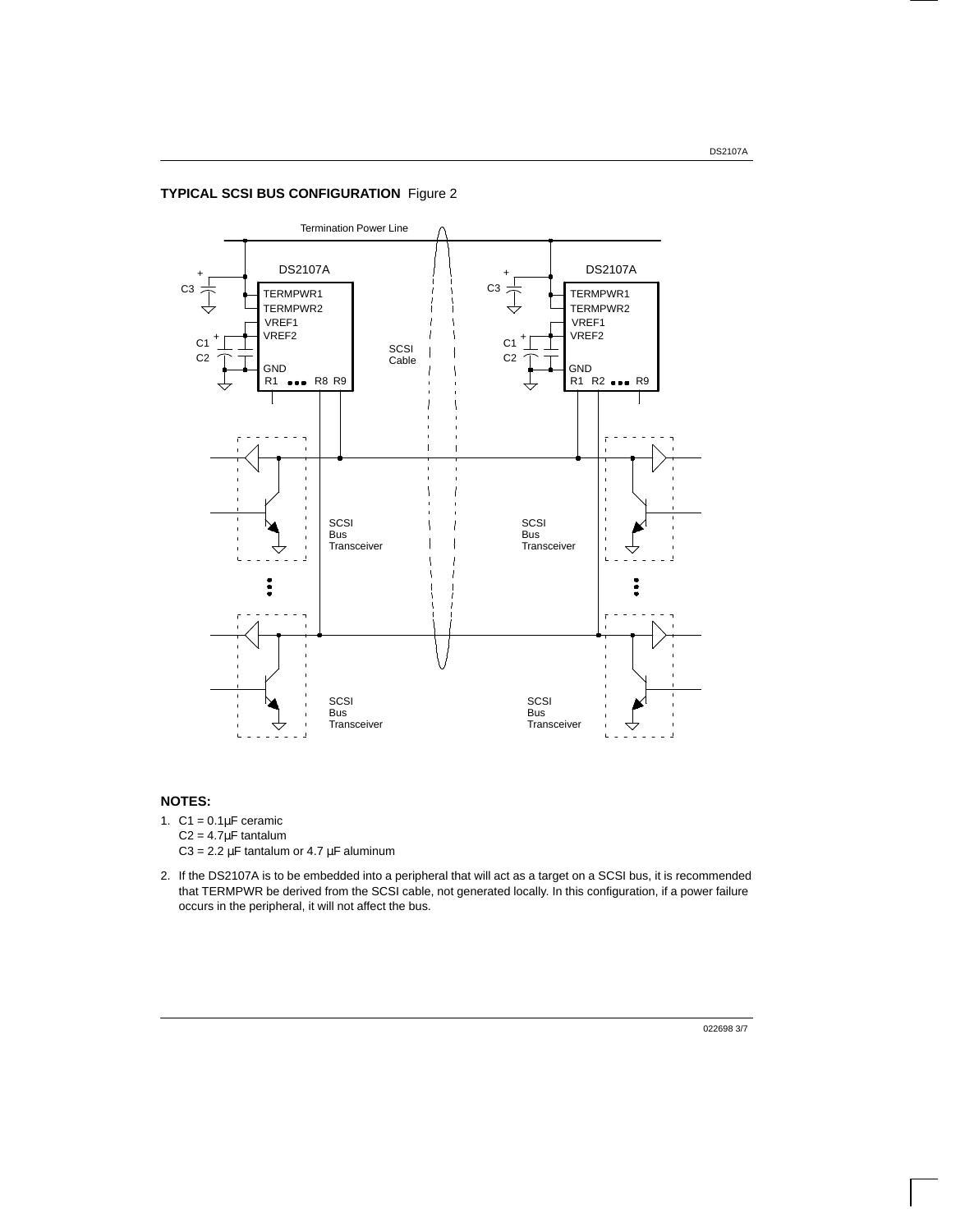## **TYPICAL SCSI BUS CONFIGURATION** Figure 2



### **NOTES:**

- 1.  $C1 = 0.1 \mu F$  ceramic  $C2 = 4.7 \mu F$  tantalum C3 =  $2.2 \mu$ F tantalum or  $4.7 \mu$ F aluminum
- 2. If the DS2107A is to be embedded into a peripheral that will act as a target on a SCSI bus, it is recommended that TERMPWR be derived from the SCSI cable, not generated locally. In this configuration, if a power failure occurs in the peripheral, it will not affect the bus.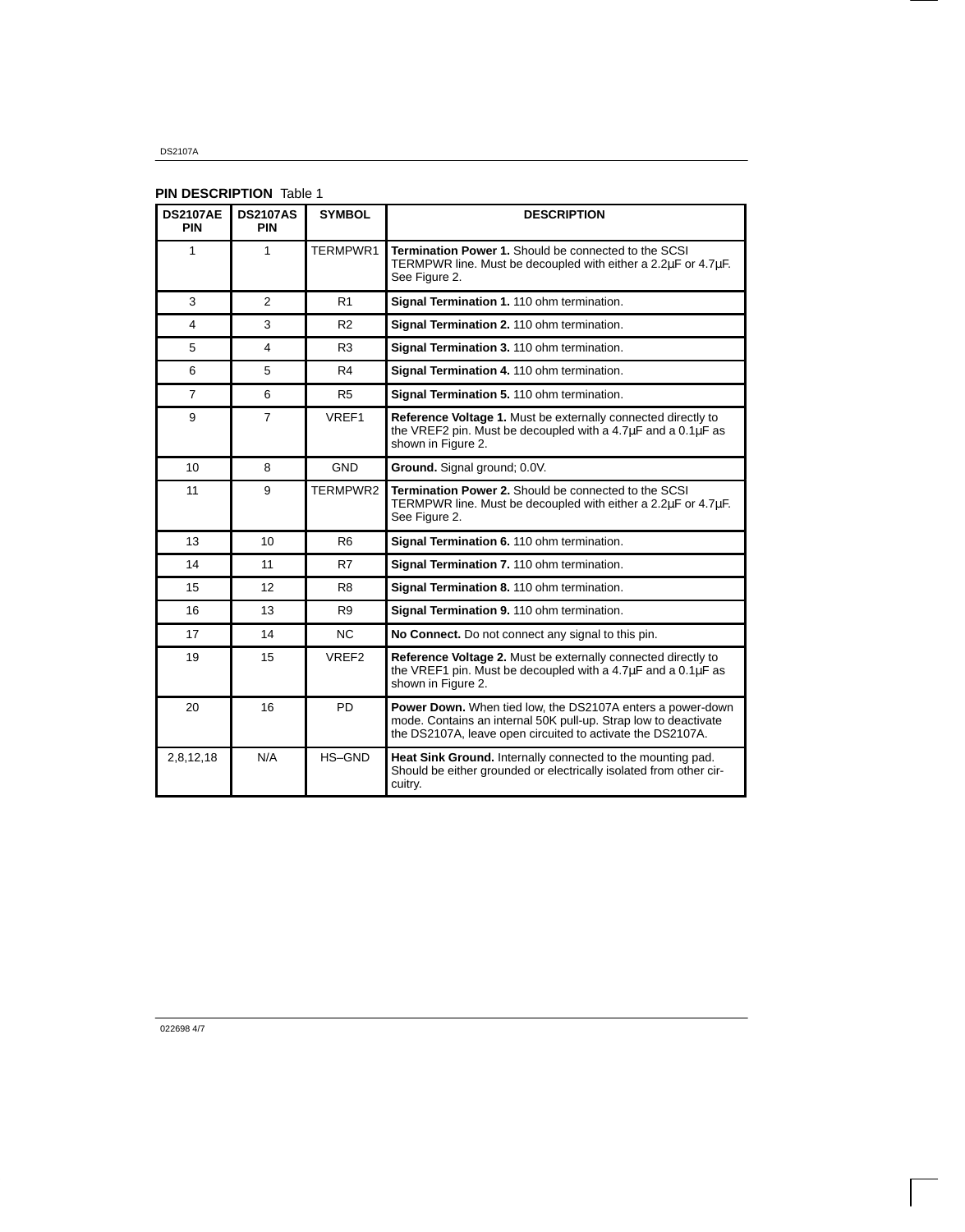DS2107A

## **PIN DESCRIPTION Table 1**

| <b>DS2107AE</b><br><b>PIN</b> | <b>DS2107AS</b><br><b>PIN</b> | <b>SYMBOL</b>  | <b>DESCRIPTION</b>                                                                                                                                                                          |  |
|-------------------------------|-------------------------------|----------------|---------------------------------------------------------------------------------------------------------------------------------------------------------------------------------------------|--|
| 1                             | 1                             | TERMPWR1       | <b>Termination Power 1.</b> Should be connected to the SCSI<br>TERMPWR line. Must be decoupled with either a 2.2µF or 4.7µF.<br>See Figure 2.                                               |  |
| 3                             | $\overline{2}$                | R <sub>1</sub> | Signal Termination 1. 110 ohm termination.                                                                                                                                                  |  |
| 4                             | 3                             | R <sub>2</sub> | Signal Termination 2. 110 ohm termination.                                                                                                                                                  |  |
| 5                             | 4                             | R3             | Signal Termination 3. 110 ohm termination.                                                                                                                                                  |  |
| 6                             | 5                             | R4             | Signal Termination 4. 110 ohm termination.                                                                                                                                                  |  |
| $\overline{7}$                | 6                             | R <sub>5</sub> | Signal Termination 5. 110 ohm termination.                                                                                                                                                  |  |
| 9                             | $\overline{7}$                | VREF1          | Reference Voltage 1. Must be externally connected directly to<br>the VREF2 pin. Must be decoupled with a 4.7 $\mu$ F and a 0.1 $\mu$ F as<br>shown in Figure 2.                             |  |
| 10                            | 8                             | <b>GND</b>     | Ground. Signal ground; 0.0V.                                                                                                                                                                |  |
| 11                            | 9                             | TERMPWR2       | <b>Termination Power 2.</b> Should be connected to the SCSI<br>TERMPWR line. Must be decoupled with either a 2.2µF or 4.7µF.<br>See Figure 2.                                               |  |
| 13                            | 10                            | R <sub>6</sub> | Signal Termination 6. 110 ohm termination.                                                                                                                                                  |  |
| 14                            | 11                            | R7             | Signal Termination 7. 110 ohm termination.                                                                                                                                                  |  |
| 15                            | $12 \overline{ }$             | R <sub>8</sub> | Signal Termination 8. 110 ohm termination.                                                                                                                                                  |  |
| 16                            | 13                            | R <sub>9</sub> | Signal Termination 9. 110 ohm termination.                                                                                                                                                  |  |
| 17                            | 14                            | N <sub>C</sub> | No Connect. Do not connect any signal to this pin.                                                                                                                                          |  |
| 19                            | 15                            | VREF2          | Reference Voltage 2. Must be externally connected directly to<br>the VREF1 pin. Must be decoupled with a $4.7\mu$ F and a $0.1\mu$ F as<br>shown in Figure 2.                               |  |
| 20                            | 16                            | <b>PD</b>      | Power Down. When tied low, the DS2107A enters a power-down<br>mode. Contains an internal 50K pull-up. Strap low to deactivate<br>the DS2107A, leave open circuited to activate the DS2107A. |  |
| 2,8,12,18                     | N/A                           | HS-GND         | Heat Sink Ground. Internally connected to the mounting pad.<br>Should be either grounded or electrically isolated from other cir-<br>cuitry.                                                |  |

022698 4/7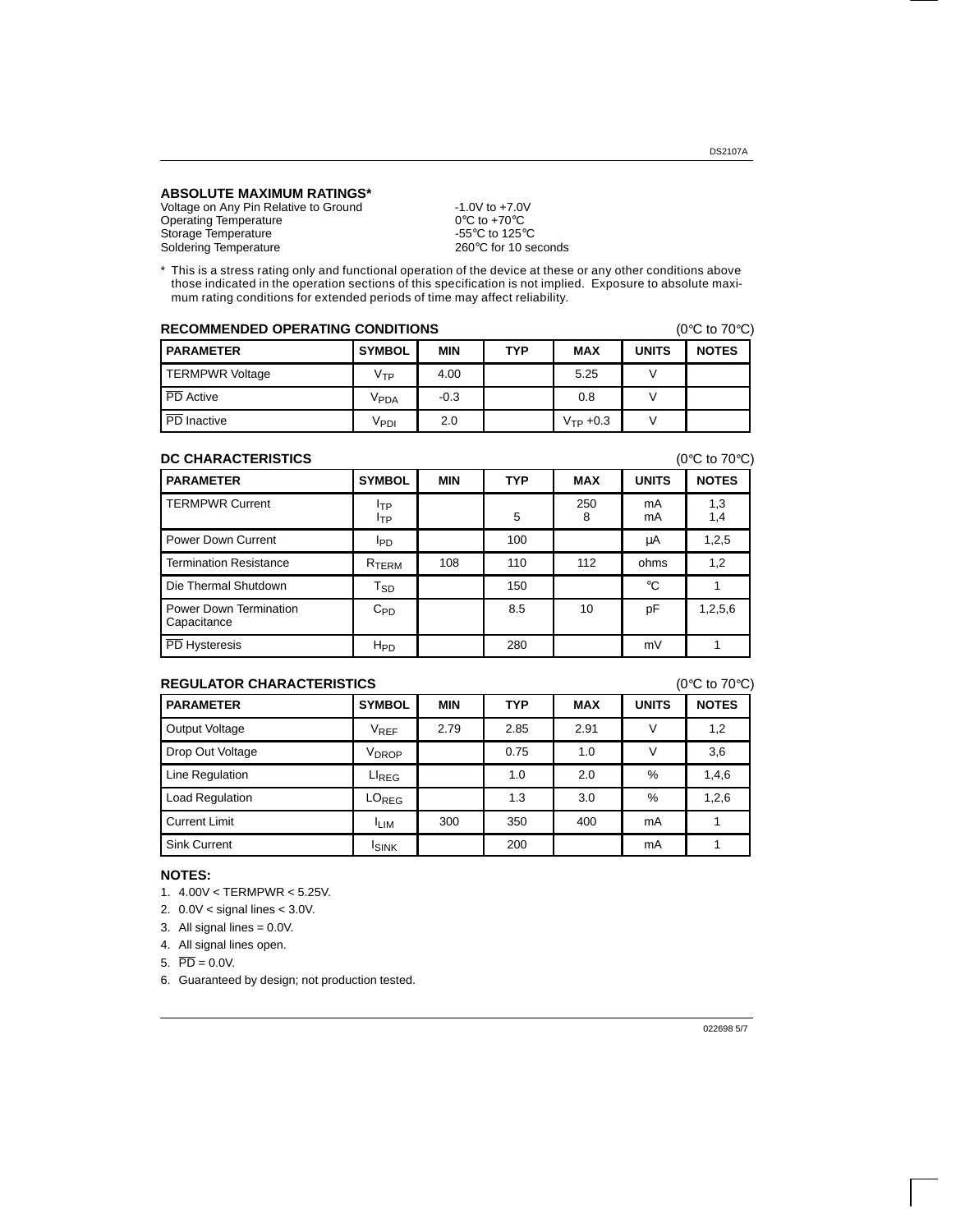### **ABSOLUTE MAXIMUM RATINGS\***

Voltage on Any Pin Relative to Ground -1.0V to +7.0V<br>Operating Temperature 0°C to +70°C Operating Temperature 0°C to +70°C<br>Storage Temperature 6.69°C to 125°C Storage Temperature<br>
Soldering Temperature  $260^{\circ}$ C to 10 seconds Soldering Temperature

\* This is a stress rating only and functional operation of the device at these or any other conditions above those indicated in the operation sections of this specification is not implied. Exposure to absolute maximum rating conditions for extended periods of time may affect reliability.

| <b>RECOMMENDED OPERATING CONDITIONS</b><br>(0 $\degree$ C to 70 $\degree$ C) |                  |            |            |                      |              |              |
|------------------------------------------------------------------------------|------------------|------------|------------|----------------------|--------------|--------------|
| <b>PARAMETER</b>                                                             | <b>SYMBOL</b>    | <b>MIN</b> | <b>TYP</b> | <b>MAX</b>           | <b>UNITS</b> | <b>NOTES</b> |
| <b>TERMPWR Voltage</b>                                                       | Vтр              | 4.00       |            | 5.25                 |              |              |
| PD Active                                                                    | V <sub>PDA</sub> | $-0.3$     |            | 0.8                  |              |              |
| PD Inactive                                                                  | V <sub>PDI</sub> | 2.0        |            | $V_{\text{TP}} +0.3$ |              |              |

### **DC CHARACTERISTICS** (0°C to 70°C)

**PARAMETER SYMBOL MIN TYP MAX UNITS NOTES** TERMPWR Current ITP  $I_{TP}$  | 5 250 8 mA mA 1,3 1,4 Power Down Current IPD IPD 100 µA 1,2,5 Termination Resistance RTERM 108 110 112 ohms 1,2 Die Thermal Shutdown  $T_{SD}$  150  $\vert$  °C 1 Power Down Termination **Capacitance** C<sub>PD</sub> | 8.5 | 10 | pF | 1,2,5,6 PD Hysteresis | H<sub>PD</sub> | 280 | mV | 1

## **REGULATOR CHARACTERISTICS** (0°C to 70°C)

| $\sim$ $\sim$ $\sim$ $\sim$ $\sim$ |                   |            |            |            |              |              |
|------------------------------------|-------------------|------------|------------|------------|--------------|--------------|
| <b>PARAMETER</b>                   | <b>SYMBOL</b>     | <b>MIN</b> | <b>TYP</b> | <b>MAX</b> | <b>UNITS</b> | <b>NOTES</b> |
| Output Voltage                     | V <sub>REF</sub>  | 2.79       | 2.85       | 2.91       | v            | 1,2          |
| Drop Out Voltage                   | V <sub>DROP</sub> |            | 0.75       | 1.0        | v            | 3,6          |
| Line Regulation                    | $LI_{REG}$        |            | 1.0        | 2.0        | %            | 1,4,6        |
| Load Regulation                    | LO <sub>REG</sub> |            | 1.3        | 3.0        | %            | 1,2,6        |
| <b>Current Limit</b>               | <sup>I</sup> LIM  | 300        | 350        | 400        | mA           |              |
| Sink Current                       | <b>ISINK</b>      |            | 200        |            | mA           |              |

## **NOTES:**

1. 4.00V < TERMPWR < 5.25V.

2. 0.0V < signal lines < 3.0V.

3. All signal lines = 0.0V.

4. All signal lines open.

5.  $\overline{PD} = 0.0V$ .

6. Guaranteed by design; not production tested.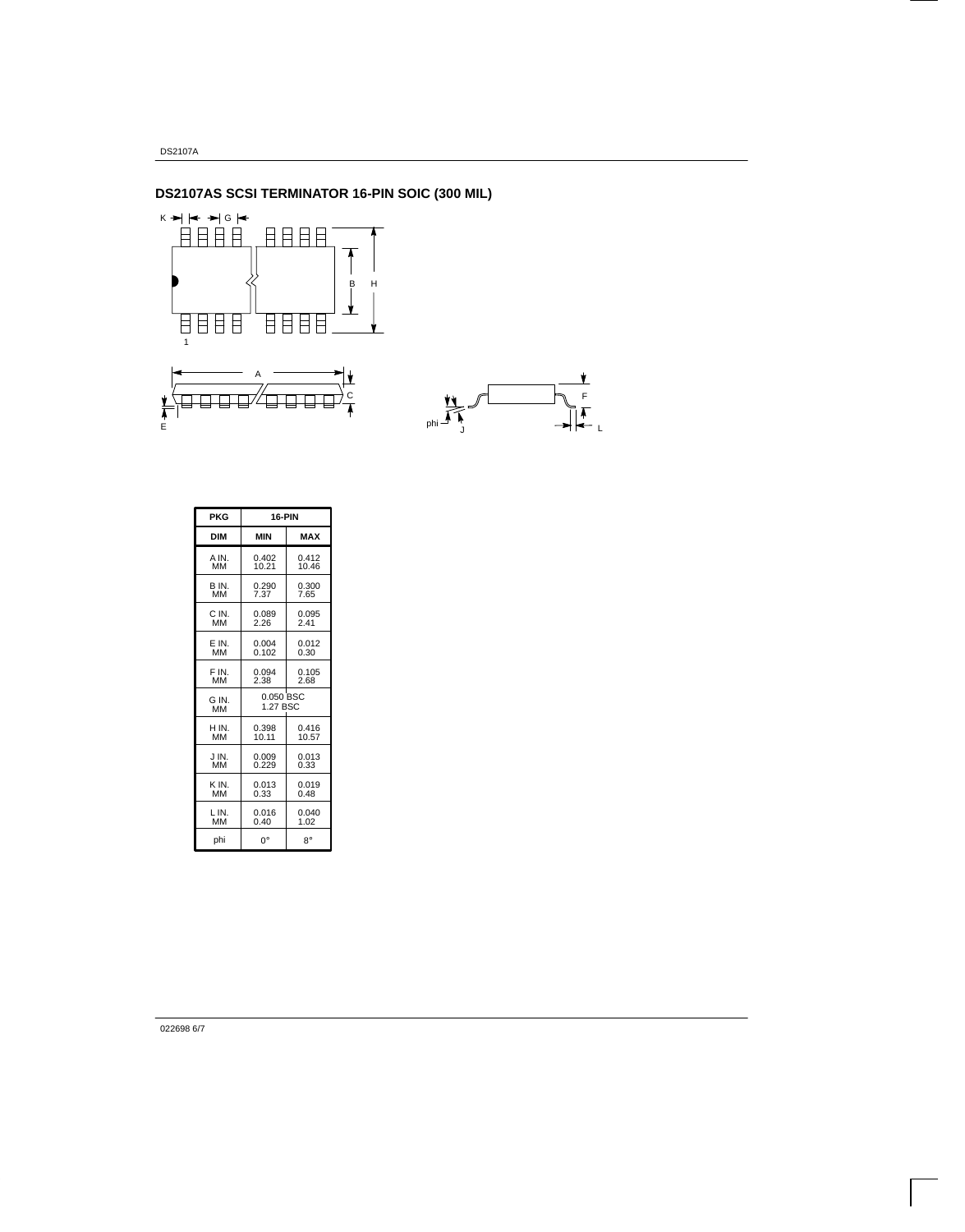# **DS2107AS SCSI TERMINATOR 16-PIN SOIC (300 MIL)**



L

Ł

| <b>PKG</b> | 16-PIN     |            |  |  |
|------------|------------|------------|--|--|
| <b>DIM</b> | <b>MIN</b> | <b>MAX</b> |  |  |
| A IN.      | 0.402      | 0.412      |  |  |
| <b>MM</b>  | 10.21      | 10.46      |  |  |
| B IN.      | 0.290      | 0.300      |  |  |
| MМ         | 7.37       | 7.65       |  |  |
| C IN.      | 0.089      | 0.095      |  |  |
| <b>MM</b>  | 2.26       | 2.41       |  |  |
| E IN.      | 0.004      | 0.012      |  |  |
| <b>MM</b>  | 0.102      | 0.30       |  |  |
| F IN.      | 0.094      | 0.105      |  |  |
| MМ         | 2.38       | 2.68       |  |  |
| G IN.      | 0.050 BSC  |            |  |  |
| ΜМ         | 1.27 BSC   |            |  |  |
| H IN.      | 0.398      | 0.416      |  |  |
| <b>MM</b>  | 10.11      | 10.57      |  |  |
| J IN.      | 0.009      | 0.013      |  |  |
| MМ         | 0.229      | 0.33       |  |  |
| K IN.      | 0.013      | 0.019      |  |  |
| мм         | 0.33       | 0.48       |  |  |
| LIN.       | 0.016      | 0.040      |  |  |
| MM         | 0.40       | 1.02       |  |  |
| phi        | 0°         | R۰         |  |  |

022698 6/7